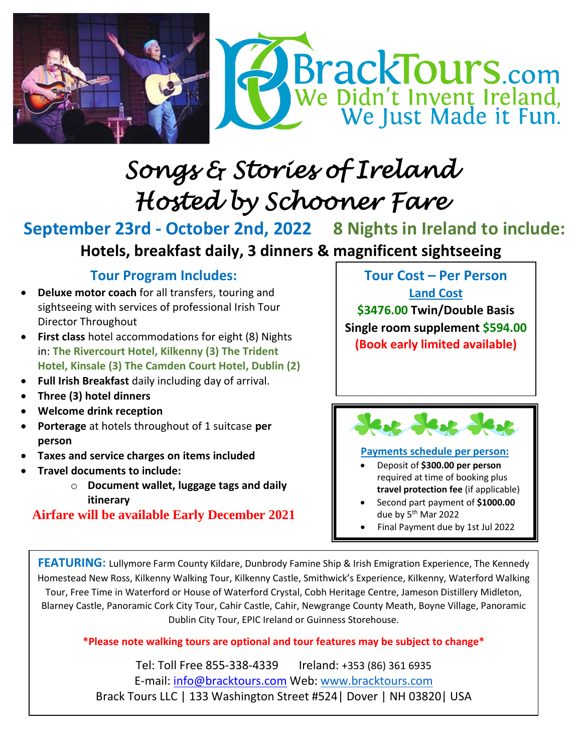

# *Songs & Stories of Ireland Hosted by Schooner Fare*

**September 23rd - October 2nd, 2022 8 Nights in Ireland to include:** **Hotels, breakfast daily, 3 dinners & magnificent sightseeing**

### **Tour Program Includes:**

- **Deluxe motor coach** for all transfers, touring and sightseeing with services of professional Irish Tour Director Throughout
- **First class** hotel accommodations for eight (8) Nights in: **The Rivercourt Hotel, Kilkenny (3) The Trident Hotel, Kinsale (3) The Camden Court Hotel, Dublin (2)**
- **Full Irish Breakfast** daily including day of arrival.
- **Three (3) hotel dinners**
- **Welcome drink reception**
- **Porterage** at hotels throughout of 1 suitcase **per person**
- **Taxes and service charges on items included**
- **Travel documents to include:** 
	- o **Document wallet, luggage tags and daily itinerary**

**Airfare will be available Early December 2021**

**Tour Cost – Per Person Land Cost**

**\$3476.00 Twin/Double Basis Single room supplement \$594.00 (Book early limited available)**



#### **Payments schedule per person:**

- Deposit of **\$300.00 per person**  required at time of booking plus **travel protection fee** (if applicable)
- Second part payment of **\$1000.00** due by 5<sup>th</sup> Mar 2022
- Final Payment due by 1st Jul 2022

**FEATURING:** Lullymore Farm County Kildare, Dunbrody Famine Ship & Irish Emigration Experience, The Kennedy Homestead New Ross, Kilkenny Walking Tour, Kilkenny Castle, Smithwick's Experience, Kilkenny, Waterford Walking Tour, Free Time in Waterford or House of Waterford Crystal, Cobh Heritage Centre, Jameson Distillery Midleton, Blarney Castle, Panoramic Cork City Tour, Cahir Castle, Cahir, Newgrange County Meath, Boyne Village, Panoramic Dublin City Tour, EPIC Ireland or Guinness Storehouse.

#### **\*Please note walking tours are optional and tour features may be subject to change\***

Tel: Toll Free 855-338-4339 Ireland: +353 (86) 361 6935 E-mail: [info@bracktours.com](mailto:info@bracktours.com) Web: [www.bracktours.com](http://www.bracktours.com/) Brack Tours LLC | 133 Washington Street #524| Dover | NH 03820| USA